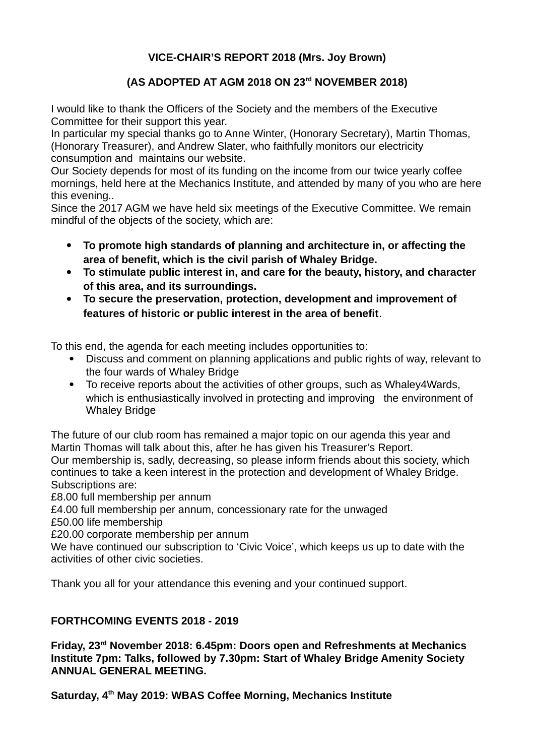## **VICE-CHAIR'S REPORT 2018 (Mrs. Joy Brown)**

## **(AS ADOPTED AT AGM 2018 ON 23rd NOVEMBER 2018)**

I would like to thank the Officers of the Society and the members of the Executive Committee for their support this year.

In particular my special thanks go to Anne Winter, (Honorary Secretary), Martin Thomas, (Honorary Treasurer), and Andrew Slater, who faithfully monitors our electricity consumption and maintains our website.

Our Society depends for most of its funding on the income from our twice yearly coffee mornings, held here at the Mechanics Institute, and attended by many of you who are here this evening..

Since the 2017 AGM we have held six meetings of the Executive Committee. We remain mindful of the objects of the society, which are:

- **To promote high standards of planning and architecture in, or affecting the area of benefit, which is the civil parish of Whaley Bridge.**
- **To stimulate public interest in, and care for the beauty, history, and character of this area, and its surroundings.**
- **To secure the preservation, protection, development and improvement of features of historic or public interest in the area of benefit**.

To this end, the agenda for each meeting includes opportunities to:

- Discuss and comment on planning applications and public rights of way, relevant to the four wards of Whaley Bridge
- To receive reports about the activities of other groups, such as Whaley4Wards, which is enthusiastically involved in protecting and improving the environment of Whaley Bridge

The future of our club room has remained a major topic on our agenda this year and Martin Thomas will talk about this, after he has given his Treasurer's Report. Our membership is, sadly, decreasing, so please inform friends about this society, which continues to take a keen interest in the protection and development of Whaley Bridge. Subscriptions are:

£8.00 full membership per annum

£4.00 full membership per annum, concessionary rate for the unwaged

£50.00 life membership

£20.00 corporate membership per annum

We have continued our subscription to 'Civic Voice', which keeps us up to date with the activities of other civic societies.

Thank you all for your attendance this evening and your continued support.

## **FORTHCOMING EVENTS 2018 - 2019**

**Friday, 23rd November 2018: 6.45pm: Doors open and Refreshments at Mechanics Institute 7pm: Talks, followed by 7.30pm: Start of Whaley Bridge Amenity Society ANNUAL GENERAL MEETING.**

**Saturday, 4th May 2019: WBAS Coffee Morning, Mechanics Institute**